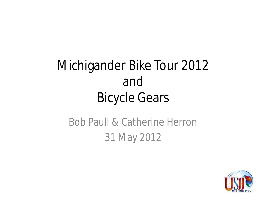## Michigander Bike Tour 2012 and Bicycle Gears

### Bob Paull & Catherine Herron 31 May 2012

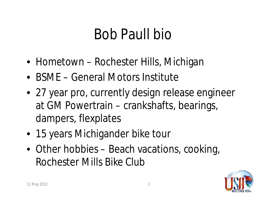# Bob Paull bio

- Hometown Rochester Hills, Michigan
- BSME General Motors Institute
- 27 year pro, currently design release engineer at GM Powertrain – crankshafts, bearings, dampers, flexplates
- 15 years Michigander bike tour
- Other hobbies Beach vacations, cooking, Rochester Mills Bike Club

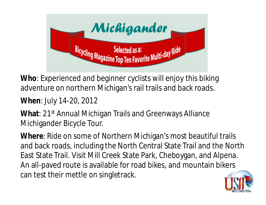

**Who**: Experienced and beginner cyclists will enjoy this biking adventure on northern Michigan's rail trails and back roads.

### **When**: July 14-20, 2012

**What**: 21st Annual Michigan Trails and Greenways Alliance Michigander Bicycle Tour.

**Where**: Ride on some of Northern Michigan's most beautiful trails and back roads, including the North Central State Trail and the North East State Trail. Visit Mill Creek State Park, Cheboygan, and Alpena. An all-paved route is available for road bikes, and mountain bikers can test their mettle on singletrack.

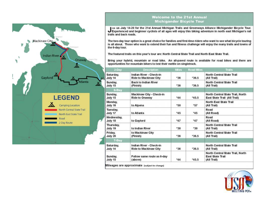

#### **Welcome to the 21st Annual Michigander Bicycle Tour**

Join us July 14-20 for the 21st Annual Michigan Trails and Greenways Alliance Michigander Bicycle Tour.<br>Experienced and beginner cyclists of all ages will enjoy this biking adventure in north east Michigan's rail trails and back roads.

The two-day tour option is a great choice for families and first-time riders who want to see what bicycle touring is all about. Those who want to extend their fun and fitness challenge will enjoy the many trails and towns of the 6-day tour.

The featured trails on this year's tour are: North Central State Trail and North East State Trail.

Bring your hybrid, mountain or road bike. An all-paved route is available for road bikes and there are opportunities for mountain bikers to test their mettle on singletrack.

| 2-Day                 | Description                                             | <b>Miles</b> | <b>Road Mies</b> | Trails                                                                     |
|-----------------------|---------------------------------------------------------|--------------|------------------|----------------------------------------------------------------------------|
| Saturday.<br>July 14  | Indian River - Check-in<br><b>Ride to Mackinaw City</b> | *36          | $*36.5$          | North Central State Trail<br>(All Trail)                                   |
| Sunday.<br>July 15    | <b>Back to Indian River</b><br>(Finish)                 | *36          | *36.5            | North Central State Trail<br>(All Trail)                                   |
| 6-Day                 |                                                         |              |                  |                                                                            |
| Sunday,<br>July 15    | Mackinaw City - Check-in<br><b>Ride to Onaway</b>       | $*44$        | *45.5            | North Central State Trail, North<br>East State Trail (All Trail)           |
| Monday.<br>July 16    | to Alpena                                               | *50          | *57              | <b>North East State Trail</b><br>(All Trail)                               |
| Tuesday,<br>July 17   | to Atlanta                                              | *45          | *45              | Road<br>(All Road)                                                         |
| Wednesday.<br>July 18 | to Gaylord                                              | *47          | *47              | Road<br>(All Road)                                                         |
| Thursday,<br>July 19  | to Indian River                                         | *30          | *30              | North Central State Trail<br>(All Trail)                                   |
| Friday,<br>July 20    | to Mackinaw City<br>(Finish)                            | *36          | *36.5            | <b>North Central State Trail</b><br>(All Trail)                            |
| 7-Day                 |                                                         |              |                  |                                                                            |
| Saturday,<br>July 14  | Indian River - Check-in<br><b>Ride to Mackinaw City</b> | *36          | "36.5            | North Central State Trail<br>(All Trail)                                   |
| Sunday.<br>July 15    | Follow same route as 6-day<br>(above)                   | $*44$        | *45.5            | North Central State Trail, North<br><b>East State Trail</b><br>(All Trail) |

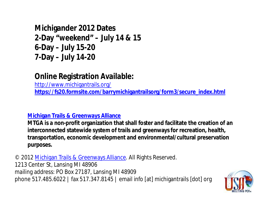**Michigander 2012 Dates 2-Day "weekend" – July 14 & 15 6-Day – July 15-20 7-Day – July 14-20**

### **Online Registration Available:**

http://www.michigantrails.org/ **https://fs20.formsite.com/barrymichigantrailsorg/form3/secure\_index.html**

#### **Michigan Trails & Greenways Alliance**

**MTGA is a non-profit organization that shall foster and facilitate the creation of an interconnected statewide system of trails and greenways for recreation, health, transportation, economic development and environmental/cultural preservation purposes.**

© 2012 Michigan Trails & Greenways Alliance. All Rights Reserved. 1213 Center St, Lansing MI 48906 mailing address: PO Box 27187, Lansing MI 48909 phone 517.485.6022 | fax 517.347.8145 | email info [at] michigantrails [dot] org

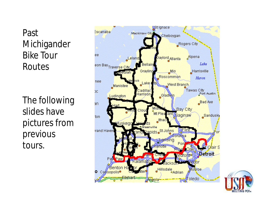Past Michigander Bike Tour Routes

The following slides have pictures from previous tours.



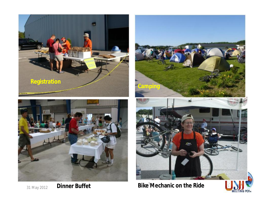

31 May 2012



**Dinner Buffet Bike<sup>7</sup>Mechanic on the Ride** 

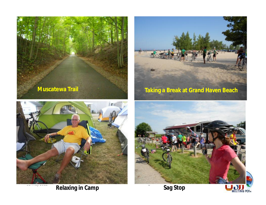



**Relaxing in Camp Sag Stop** 





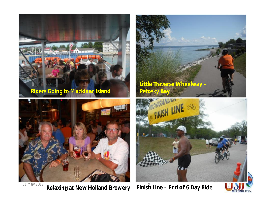



31 May 2012 9 **Relaxing at New Holland Brewery Finish Line – End of 6 Day Ride**





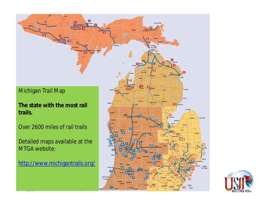

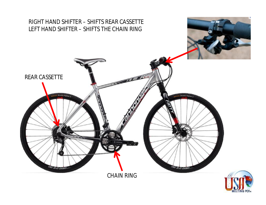